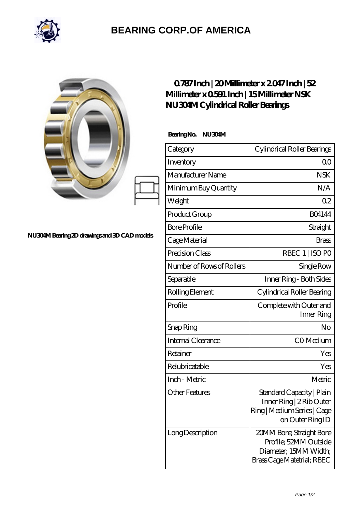

## **[BEARING CORP.OF AMERICA](https://bluemondayreview.com)**

|                                              | $0787$ Inch   20 Millimeter x 2047 Inch   52<br>Millimeter x 0591 Inch   15 Millimeter NSK<br>NU304M Cylindrical Roller Bearings |                                                                                                          |
|----------------------------------------------|----------------------------------------------------------------------------------------------------------------------------------|----------------------------------------------------------------------------------------------------------|
| NU304M Bearing 2D drawings and 3D CAD models | BearingNo.<br>NU304M                                                                                                             |                                                                                                          |
|                                              | Category                                                                                                                         | Cylindrical Roller Bearings                                                                              |
|                                              | Inventory                                                                                                                        | 0 <sup>0</sup>                                                                                           |
|                                              | Manufacturer Name                                                                                                                | <b>NSK</b>                                                                                               |
|                                              | Minimum Buy Quantity                                                                                                             | N/A                                                                                                      |
|                                              | Weight                                                                                                                           | 0 <sub>2</sub>                                                                                           |
|                                              | Product Group                                                                                                                    | <b>BO4144</b>                                                                                            |
|                                              | <b>Bore Profile</b>                                                                                                              | Straight                                                                                                 |
|                                              | Cage Material                                                                                                                    | <b>Brass</b>                                                                                             |
|                                              | Precision Class                                                                                                                  | RBEC 1   ISO PO                                                                                          |
|                                              | Number of Rows of Rollers                                                                                                        | Single Row                                                                                               |
|                                              | Separable                                                                                                                        | Inner Ring - Both Sides                                                                                  |
|                                              | Rolling Element                                                                                                                  | Cylindrical Roller Bearing                                                                               |
|                                              | Profile                                                                                                                          | Complete with Outer and<br>Inner Ring                                                                    |
|                                              | Snap Ring                                                                                                                        | No                                                                                                       |
|                                              | Internal Clearance                                                                                                               | CO-Medium                                                                                                |
|                                              | Retainer                                                                                                                         | Yes                                                                                                      |
|                                              | Relubricatable                                                                                                                   | Yes                                                                                                      |
|                                              | Inch - Metric                                                                                                                    | Metric                                                                                                   |
|                                              | <b>Other Features</b>                                                                                                            | Standard Capacity   Plain<br>Inner Ring   2 Rib Outer<br>Ring   Medium Series   Cage<br>on Outer Ring ID |
|                                              | Long Description                                                                                                                 | 20MM Bore; Straight Bore<br>Profile; 52MM Outside<br>Diameter, 15MM Width;<br>Brass Cage Matetrial; RBEC |